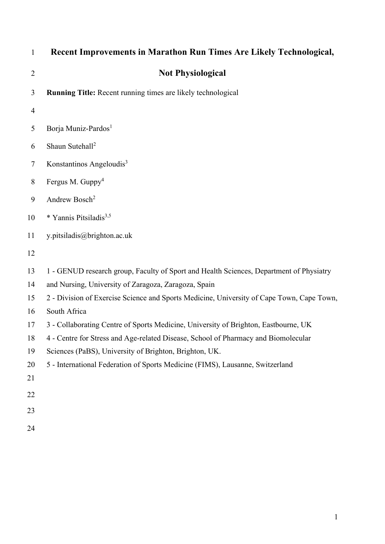| $\mathbf{1}$   | Recent Improvements in Marathon Run Times Are Likely Technological,                       |
|----------------|-------------------------------------------------------------------------------------------|
| $\overline{2}$ | <b>Not Physiological</b>                                                                  |
| 3              | <b>Running Title:</b> Recent running times are likely technological                       |
| $\overline{4}$ |                                                                                           |
| 5              | Borja Muniz-Pardos <sup>1</sup>                                                           |
| 6              | Shaun Sutehall <sup>2</sup>                                                               |
| 7              | Konstantinos Angeloudis <sup>3</sup>                                                      |
| 8              | Fergus M. Guppy <sup>4</sup>                                                              |
| 9              | Andrew Bosch <sup>2</sup>                                                                 |
| 10             | * Yannis Pitsiladis <sup>3,5</sup>                                                        |
| 11             | y.pitsiladis@brighton.ac.uk                                                               |
| 12             |                                                                                           |
| 13             | 1 - GENUD research group, Faculty of Sport and Health Sciences, Department of Physiatry   |
| 14             | and Nursing, University of Zaragoza, Zaragoza, Spain                                      |
| 15             | 2 - Division of Exercise Science and Sports Medicine, University of Cape Town, Cape Town, |
| 16             | South Africa                                                                              |
| 17             | 3 - Collaborating Centre of Sports Medicine, University of Brighton, Eastbourne, UK       |
| 18             | 4 - Centre for Stress and Age-related Disease, School of Pharmacy and Biomolecular        |
| 19             | Sciences (PaBS), University of Brighton, Brighton, UK.                                    |
| 20             | 5 - International Federation of Sports Medicine (FIMS), Lausanne, Switzerland             |
| 21             |                                                                                           |
| 22             |                                                                                           |
| 23             |                                                                                           |
| 24             |                                                                                           |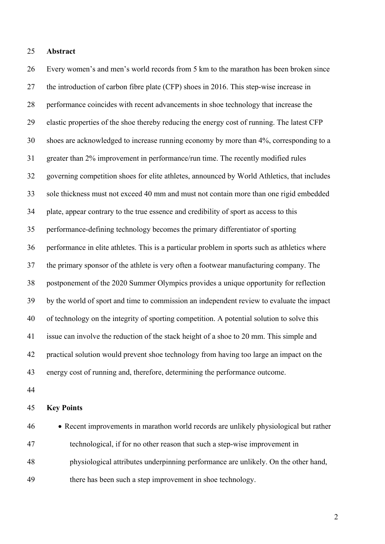### **Abstract**

 Every women's and men's world records from 5 km to the marathon has been broken since the introduction of carbon fibre plate (CFP) shoes in 2016. This step-wise increase in performance coincides with recent advancements in shoe technology that increase the elastic properties of the shoe thereby reducing the energy cost of running. The latest CFP shoes are acknowledged to increase running economy by more than 4%, corresponding to a greater than 2% improvement in performance/run time. The recently modified rules governing competition shoes for elite athletes, announced by World Athletics, that includes sole thickness must not exceed 40 mm and must not contain more than one rigid embedded plate, appear contrary to the true essence and credibility of sport as access to this performance-defining technology becomes the primary differentiator of sporting performance in elite athletes. This is a particular problem in sports such as athletics where the primary sponsor of the athlete is very often a footwear manufacturing company. The postponement of the 2020 Summer Olympics provides a unique opportunity for reflection by the world of sport and time to commission an independent review to evaluate the impact of technology on the integrity of sporting competition. A potential solution to solve this issue can involve the reduction of the stack height of a shoe to 20 mm. This simple and practical solution would prevent shoe technology from having too large an impact on the energy cost of running and, therefore, determining the performance outcome.

## **Key Points**

 • Recent improvements in marathon world records are unlikely physiological but rather technological, if for no other reason that such a step-wise improvement in physiological attributes underpinning performance are unlikely. On the other hand, there has been such a step improvement in shoe technology.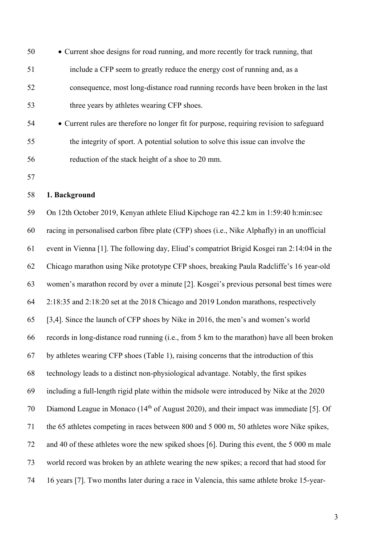| 50 | • Current shoe designs for road running, and more recently for track running, that       |
|----|------------------------------------------------------------------------------------------|
| 51 | include a CFP seem to greatly reduce the energy cost of running and, as a                |
| 52 | consequence, most long-distance road running records have been broken in the last        |
| 53 | three years by athletes wearing CFP shoes.                                               |
| 54 | • Current rules are therefore no longer fit for purpose, requiring revision to safeguard |
| 55 | the integrity of sport. A potential solution to solve this issue can involve the         |

reduction of the stack height of a shoe to 20 mm.

# **1. Background**

 On 12th October 2019, Kenyan athlete Eliud Kipchoge ran 42.2 km in 1:59:40 h:min:sec racing in personalised carbon fibre plate (CFP) shoes (i.e., Nike Alphafly) in an unofficial event in Vienna [1]. The following day, Eliud's compatriot Brigid Kosgei ran 2:14:04 in the Chicago marathon using Nike prototype CFP shoes, breaking Paula Radcliffe's 16 year-old women's marathon record by over a minute [2]. Kosgei's previous personal best times were 2:18:35 and 2:18:20 set at the 2018 Chicago and 2019 London marathons, respectively [3,4]. Since the launch of CFP shoes by Nike in 2016, the men's and women's world records in long-distance road running (i.e., from 5 km to the marathon) have all been broken by athletes wearing CFP shoes (Table 1), raising concerns that the introduction of this technology leads to a distinct non-physiological advantage. Notably, the first spikes including a full-length rigid plate within the midsole were introduced by Nike at the 2020 70 Diamond League in Monaco  $(14<sup>th</sup>$  of August 2020), and their impact was immediate [5]. Of the 65 athletes competing in races between 800 and 5 000 m, 50 athletes wore Nike spikes, and 40 of these athletes wore the new spiked shoes [6]. During this event, the 5 000 m male world record was broken by an athlete wearing the new spikes; a record that had stood for 16 years [7]. Two months later during a race in Valencia, this same athlete broke 15-year-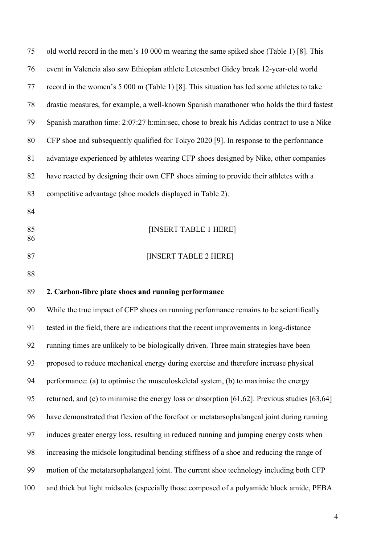| 75       | old world record in the men's 10 000 m wearing the same spiked shoe (Table 1) [8]. This       |
|----------|-----------------------------------------------------------------------------------------------|
| 76       | event in Valencia also saw Ethiopian athlete Letesenbet Gidey break 12-year-old world         |
| 77       | record in the women's 5 000 m (Table 1) [8]. This situation has led some athletes to take     |
| 78       | drastic measures, for example, a well-known Spanish marathoner who holds the third fastest    |
| 79       | Spanish marathon time: 2:07:27 h:min:sec, chose to break his Adidas contract to use a Nike    |
| 80       | CFP shoe and subsequently qualified for Tokyo 2020 [9]. In response to the performance        |
| 81       | advantage experienced by athletes wearing CFP shoes designed by Nike, other companies         |
| 82       | have reacted by designing their own CFP shoes aiming to provide their athletes with a         |
| 83       | competitive advantage (shoe models displayed in Table 2).                                     |
| 84       |                                                                                               |
| 85<br>86 | [INSERT TABLE 1 HERE]                                                                         |
| 87       | [INSERT TABLE 2 HERE]                                                                         |
| 88       |                                                                                               |
| 89       | 2. Carbon-fibre plate shoes and running performance                                           |
| 90       | While the true impact of CFP shoes on running performance remains to be scientifically        |
| 91       | tested in the field, there are indications that the recent improvements in long-distance      |
| 92       | running times are unlikely to be biologically driven. Three main strategies have been         |
| 93       | proposed to reduce mechanical energy during exercise and therefore increase physical          |
| 94       | performance: (a) to optimise the musculoskeletal system, (b) to maximise the energy           |
| 95       | returned, and (c) to minimise the energy loss or absorption [61,62]. Previous studies [63,64] |
| 96       | have demonstrated that flexion of the forefoot or metatarsophalangeal joint during running    |
| 97       | induces greater energy loss, resulting in reduced running and jumping energy costs when       |
| 98       | increasing the midsole longitudinal bending stiffness of a shoe and reducing the range of     |
| 99       | motion of the metatarsophalangeal joint. The current shoe technology including both CFP       |
| 100      | and thick but light midsoles (especially those composed of a polyamide block amide, PEBA      |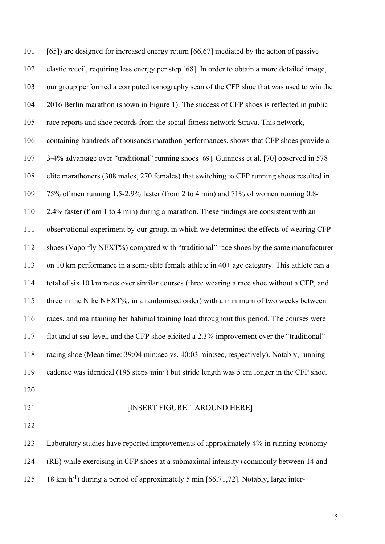[65]) are designed for increased energy return [66,67] mediated by the action of passive elastic recoil, requiring less energy per step [68]. In order to obtain a more detailed image, our group performed a computed tomography scan of the CFP shoe that was used to win the 2016 Berlin marathon (shown in Figure 1). The success of CFP shoes is reflected in public race reports and shoe records from the social-fitness network Strava. This network, containing hundreds of thousands marathon performances, shows that CFP shoes provide a 3-4% advantage over "traditional" running shoes [69]. Guinness et al. [70] observed in 578 elite marathoners (308 males, 270 females) that switching to CFP running shoes resulted in 75% of men running 1.5-2.9% faster (from 2 to 4 min) and 71% of women running 0.8- 2.4% faster (from 1 to 4 min) during a marathon. These findings are consistent with an observational experiment by our group, in which we determined the effects of wearing CFP shoes (Vaporfly NEXT%) compared with "traditional" race shoes by the same manufacturer on 10 km performance in a semi-elite female athlete in 40+ age category. This athlete ran a total of six 10 km races over similar courses (three wearing a race shoe without a CFP, and three in the Nike NEXT%, in a randomised order) with a minimum of two weeks between races, and maintaining her habitual training load throughout this period. The courses were flat and at sea-level, and the CFP shoe elicited a 2.3% improvement over the "traditional" racing shoe (Mean time: 39:04 min:sec vs. 40:03 min:sec, respectively). Notably, running 119 cadence was identical (195 steps·min<sup>-1</sup>) but stride length was 5 cm longer in the CFP shoe. **INSERT FIGURE 1 AROUND HERE** 

 Laboratory studies have reported improvements of approximately 4% in running economy (RE) while exercising in CFP shoes at a submaximal intensity (commonly between 14 and 125 18 km·h<sup>-1</sup>) during a period of approximately 5 min [66,71,72]. Notably, large inter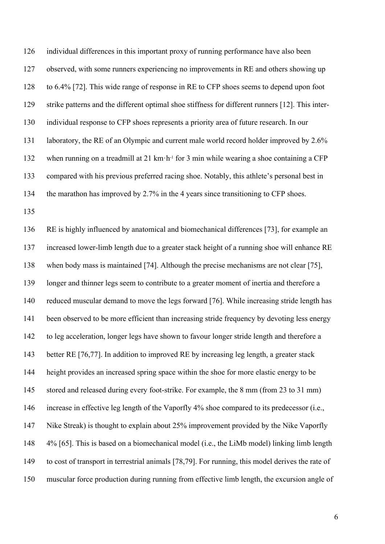individual differences in this important proxy of running performance have also been observed, with some runners experiencing no improvements in RE and others showing up to 6.4% [72]. This wide range of response in RE to CFP shoes seems to depend upon foot strike patterns and the different optimal shoe stiffness for different runners [12]. This inter- individual response to CFP shoes represents a priority area of future research. In our 131 laboratory, the RE of an Olympic and current male world record holder improved by 2.6% 132 when running on a treadmill at 21 km·h<sup>-1</sup> for 3 min while wearing a shoe containing a CFP compared with his previous preferred racing shoe. Notably, this athlete's personal best in the marathon has improved by 2.7% in the 4 years since transitioning to CFP shoes.

 RE is highly influenced by anatomical and biomechanical differences [73], for example an increased lower-limb length due to a greater stack height of a running shoe will enhance RE when body mass is maintained [74]. Although the precise mechanisms are not clear [75], longer and thinner legs seem to contribute to a greater moment of inertia and therefore a reduced muscular demand to move the legs forward [76]. While increasing stride length has been observed to be more efficient than increasing stride frequency by devoting less energy to leg acceleration, longer legs have shown to favour longer stride length and therefore a 143 better RE [76,77]. In addition to improved RE by increasing leg length, a greater stack height provides an increased spring space within the shoe for more elastic energy to be stored and released during every foot-strike. For example, the 8 mm (from 23 to 31 mm) increase in effective leg length of the Vaporfly 4% shoe compared to its predecessor (i.e., Nike Streak) is thought to explain about 25% improvement provided by the Nike Vaporfly 4% [65]. This is based on a biomechanical model (i.e., the LiMb model) linking limb length to cost of transport in terrestrial animals [78,79]. For running, this model derives the rate of muscular force production during running from effective limb length, the excursion angle of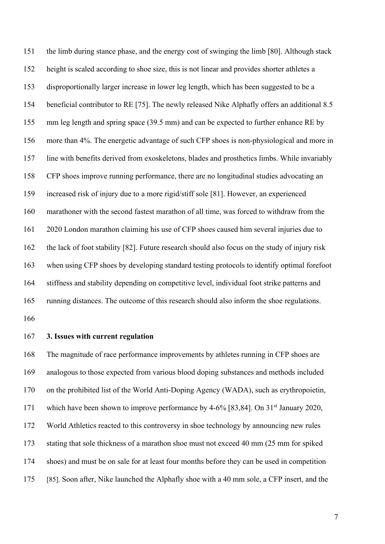the limb during stance phase, and the energy cost of swinging the limb [80]. Although stack height is scaled according to shoe size, this is not linear and provides shorter athletes a disproportionally larger increase in lower leg length, which has been suggested to be a beneficial contributor to RE [75]. The newly released Nike Alphafly offers an additional 8.5 155 mm leg length and spring space (39.5 mm) and can be expected to further enhance RE by more than 4%. The energetic advantage of such CFP shoes is non-physiological and more in line with benefits derived from exoskeletons, blades and prosthetics limbs. While invariably CFP shoes improve running performance, there are no longitudinal studies advocating an increased risk of injury due to a more rigid/stiff sole [81]. However, an experienced marathoner with the second fastest marathon of all time, was forced to withdraw from the 2020 London marathon claiming his use of CFP shoes caused him several injuries due to the lack of foot stability [82]. Future research should also focus on the study of injury risk when using CFP shoes by developing standard testing protocols to identify optimal forefoot stiffness and stability depending on competitive level, individual foot strike patterns and running distances. The outcome of this research should also inform the shoe regulations. 

**3. Issues with current regulation**

 The magnitude of race performance improvements by athletes running in CFP shoes are analogous to those expected from various blood doping substances and methods included on the prohibited list of the World Anti-Doping Agency (WADA), such as erythropoietin, 171 which have been shown to improve performance by 4-6% [83,84]. On  $31<sup>st</sup>$  January 2020, World Athletics reacted to this controversy in shoe technology by announcing new rules stating that sole thickness of a marathon shoe must not exceed 40 mm (25 mm for spiked shoes) and must be on sale for at least four months before they can be used in competition [85]. Soon after, Nike launched the Alphafly shoe with a 40 mm sole, a CFP insert, and the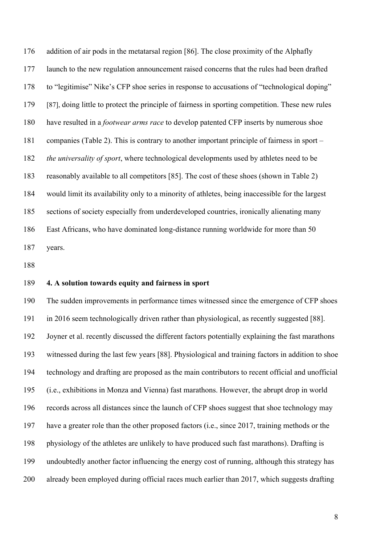addition of air pods in the metatarsal region [86]. The close proximity of the Alphafly launch to the new regulation announcement raised concerns that the rules had been drafted to "legitimise" Nike's CFP shoe series in response to accusations of "technological doping" [87], doing little to protect the principle of fairness in sporting competition. These new rules have resulted in a *footwear arms race* to develop patented CFP inserts by numerous shoe companies (Table 2). This is contrary to another important principle of fairness in sport – *the universality of sport*, where technological developments used by athletes need to be reasonably available to all competitors [85]. The cost of these shoes (shown in Table 2) would limit its availability only to a minority of athletes, being inaccessible for the largest sections of society especially from underdeveloped countries, ironically alienating many East Africans, who have dominated long-distance running worldwide for more than 50 years.

### **4. A solution towards equity and fairness in sport**

 The sudden improvements in performance times witnessed since the emergence of CFP shoes in 2016 seem technologically driven rather than physiological, as recently suggested [88]. Joyner et al. recently discussed the different factors potentially explaining the fast marathons witnessed during the last few years [88]. Physiological and training factors in addition to shoe technology and drafting are proposed as the main contributors to recent official and unofficial (i.e., exhibitions in Monza and Vienna) fast marathons. However, the abrupt drop in world records across all distances since the launch of CFP shoes suggest that shoe technology may have a greater role than the other proposed factors (i.e., since 2017, training methods or the physiology of the athletes are unlikely to have produced such fast marathons). Drafting is undoubtedly another factor influencing the energy cost of running, although this strategy has already been employed during official races much earlier than 2017, which suggests drafting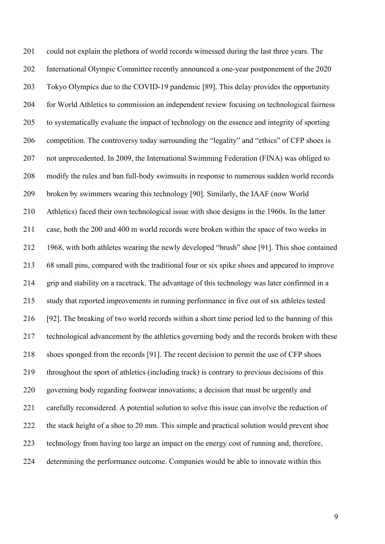201 could not explain the plethora of world records witnessed during the last three years. The International Olympic Committee recently announced a one-year postponement of the 2020 Tokyo Olympics due to the COVID-19 pandemic [89]. This delay provides the opportunity for World Athletics to commission an independent review focusing on technological fairness to systematically evaluate the impact of technology on the essence and integrity of sporting competition. The controversy today surrounding the "legality" and "ethics" of CFP shoes is not unprecedented. In 2009, the International Swimming Federation (FINA) was obliged to modify the rules and ban full-body swimsuits in response to numerous sudden world records broken by swimmers wearing this technology [90]. Similarly, the IAAF (now World Athletics) faced their own technological issue with shoe designs in the 1960s. In the latter case, both the 200 and 400 m world records were broken within the space of two weeks in 1968, with both athletes wearing the newly developed "brush" shoe [91]. This shoe contained 68 small pins, compared with the traditional four or six spike shoes and appeared to improve grip and stability on a racetrack. The advantage of this technology was later confirmed in a study that reported improvements in running performance in five out of six athletes tested [92]. The breaking of two world records within a short time period led to the banning of this technological advancement by the athletics governing body and the records broken with these shoes sponged from the records [91]. The recent decision to permit the use of CFP shoes throughout the sport of athletics (including track) is contrary to previous decisions of this governing body regarding footwear innovations; a decision that must be urgently and carefully reconsidered. A potential solution to solve this issue can involve the reduction of 222 the stack height of a shoe to 20 mm. This simple and practical solution would prevent shoe technology from having too large an impact on the energy cost of running and, therefore, determining the performance outcome. Companies would be able to innovate within this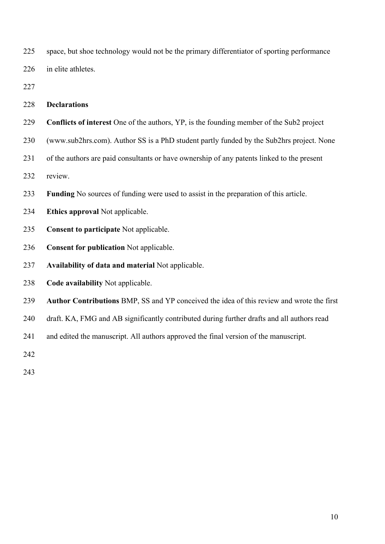space, but shoe technology would not be the primary differentiator of sporting performance in elite athletes.

- **Conflicts of interest** One of the authors, YP, is the founding member of the Sub2 project
- (www.sub2hrs.com). Author SS is a PhD student partly funded by the Sub2hrs project. None
- of the authors are paid consultants or have ownership of any patents linked to the present

review.

- **Funding** No sources of funding were used to assist in the preparation of this article.
- **Ethics approval** Not applicable.
- **Consent to participate** Not applicable.
- **Consent for publication** Not applicable.
- **Availability of data and material** Not applicable.
- **Code availability** Not applicable.
- **Author Contributions** BMP, SS and YP conceived the idea of this review and wrote the first
- draft. KA, FMG and AB significantly contributed during further drafts and all authors read
- and edited the manuscript. All authors approved the final version of the manuscript.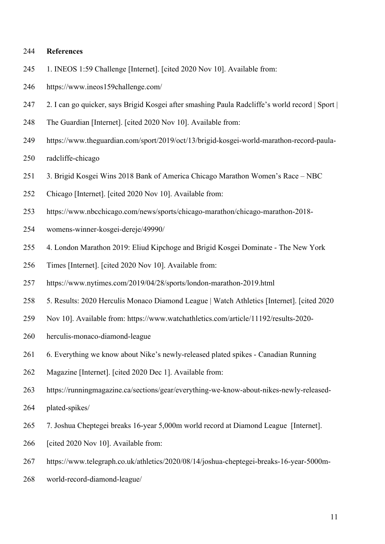#### **References**

- 1. INEOS 1:59 Challenge [Internet]. [cited 2020 Nov 10]. Available from:
- https://www.ineos159challenge.com/
- 2. I can go quicker, says Brigid Kosgei after smashing Paula Radcliffe's world record | Sport |
- The Guardian [Internet]. [cited 2020 Nov 10]. Available from:
- https://www.theguardian.com/sport/2019/oct/13/brigid-kosgei-world-marathon-record-paula-
- radcliffe-chicago
- 3. Brigid Kosgei Wins 2018 Bank of America Chicago Marathon Women's Race NBC
- Chicago [Internet]. [cited 2020 Nov 10]. Available from:
- https://www.nbcchicago.com/news/sports/chicago-marathon/chicago-marathon-2018-
- womens-winner-kosgei-dereje/49990/
- 4. London Marathon 2019: Eliud Kipchoge and Brigid Kosgei Dominate The New York
- Times [Internet]. [cited 2020 Nov 10]. Available from:
- https://www.nytimes.com/2019/04/28/sports/london-marathon-2019.html
- 5. Results: 2020 Herculis Monaco Diamond League | Watch Athletics [Internet]. [cited 2020
- Nov 10]. Available from: https://www.watchathletics.com/article/11192/results-2020-
- herculis-monaco-diamond-league
- 6. Everything we know about Nike's newly-released plated spikes Canadian Running
- Magazine [Internet]. [cited 2020 Dec 1]. Available from:
- https://runningmagazine.ca/sections/gear/everything-we-know-about-nikes-newly-released-
- plated-spikes/
- 7. Joshua Cheptegei breaks 16-year 5,000m world record at Diamond League [Internet].
- 266 [cited 2020 Nov 10]. Available from:
- https://www.telegraph.co.uk/athletics/2020/08/14/joshua-cheptegei-breaks-16-year-5000m-
- world-record-diamond-league/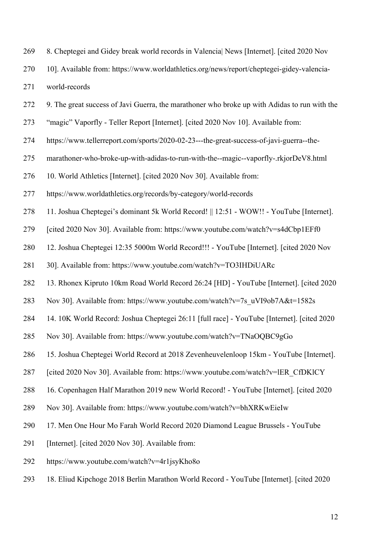- 8. Cheptegei and Gidey break world records in Valencia| News [Internet]. [cited 2020 Nov
- 10]. Available from: https://www.worldathletics.org/news/report/cheptegei-gidey-valencia-

world-records

- 9. The great success of Javi Guerra, the marathoner who broke up with Adidas to run with the
- "magic" Vaporfly Teller Report [Internet]. [cited 2020 Nov 10]. Available from:
- https://www.tellerreport.com/sports/2020-02-23---the-great-success-of-javi-guerra--the-
- marathoner-who-broke-up-with-adidas-to-run-with-the--magic--vaporfly-.rkjorDeV8.html

10. World Athletics [Internet]. [cited 2020 Nov 30]. Available from:

https://www.worldathletics.org/records/by-category/world-records

- 11. Joshua Cheptegei's dominant 5k World Record! || 12:51 WOW!! YouTube [Internet].
- [cited 2020 Nov 30]. Available from: https://www.youtube.com/watch?v=s4dCbp1EFf0

12. Joshua Cheptegei 12:35 5000m World Record!!! - YouTube [Internet]. [cited 2020 Nov

30]. Available from: https://www.youtube.com/watch?v=TO3IHDiUARc

- 13. Rhonex Kipruto 10km Road World Record 26:24 [HD] YouTube [Internet]. [cited 2020
- Nov 30]. Available from: https://www.youtube.com/watch?v=7s\_uVI9ob7A&t=1582s
- 14. 10K World Record: Joshua Cheptegei 26:11 [full race] YouTube [Internet]. [cited 2020
- Nov 30]. Available from: https://www.youtube.com/watch?v=TNaOQBC9gGo
- 15. Joshua Cheptegei World Record at 2018 Zevenheuvelenloop 15km YouTube [Internet].
- [cited 2020 Nov 30]. Available from: https://www.youtube.com/watch?v=lER\_CfDKlCY
- 16. Copenhagen Half Marathon 2019 new World Record! YouTube [Internet]. [cited 2020
- Nov 30]. Available from: https://www.youtube.com/watch?v=bhXRKwEieIw
- 17. Men One Hour Mo Farah World Record 2020 Diamond League Brussels YouTube
- 291 [Internet]. [cited 2020 Nov 30]. Available from:
- https://www.youtube.com/watch?v=4r1jsyKho8o
- 18. Eliud Kipchoge 2018 Berlin Marathon World Record YouTube [Internet]. [cited 2020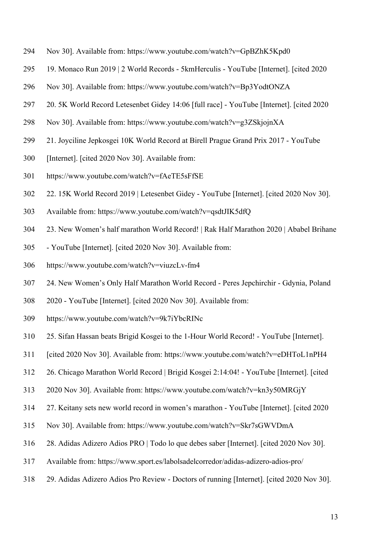- Nov 30]. Available from: https://www.youtube.com/watch?v=GpBZhK5Kpd0
- 19. Monaco Run 2019 | 2 World Records 5kmHerculis YouTube [Internet]. [cited 2020
- Nov 30]. Available from: https://www.youtube.com/watch?v=Bp3YodtONZA
- 20. 5K World Record Letesenbet Gidey 14:06 [full race] YouTube [Internet]. [cited 2020
- Nov 30]. Available from: https://www.youtube.com/watch?v=g3ZSkjojnXA
- 21. Joyciline Jepkosgei 10K World Record at Birell Prague Grand Prix 2017 YouTube
- [Internet]. [cited 2020 Nov 30]. Available from:
- https://www.youtube.com/watch?v=fAeTE5sFfSE
- 22. 15K World Record 2019 | Letesenbet Gidey YouTube [Internet]. [cited 2020 Nov 30].
- Available from: https://www.youtube.com/watch?v=qsdtJIK5dfQ
- 23. New Women's half marathon World Record! | Rak Half Marathon 2020 | Ababel Brihane
- YouTube [Internet]. [cited 2020 Nov 30]. Available from:
- https://www.youtube.com/watch?v=viuzcLv-fm4
- 24. New Women's Only Half Marathon World Record Peres Jepchirchir Gdynia, Poland
- 2020 YouTube [Internet]. [cited 2020 Nov 30]. Available from:
- https://www.youtube.com/watch?v=9k7iYbcRINc
- 25. Sifan Hassan beats Brigid Kosgei to the 1-Hour World Record! YouTube [Internet].
- [cited 2020 Nov 30]. Available from: https://www.youtube.com/watch?v=eDHToL1nPH4
- 26. Chicago Marathon World Record | Brigid Kosgei 2:14:04! YouTube [Internet]. [cited
- 2020 Nov 30]. Available from: https://www.youtube.com/watch?v=kn3y50MRGjY
- 27. Keitany sets new world record in women's marathon YouTube [Internet]. [cited 2020
- Nov 30]. Available from: https://www.youtube.com/watch?v=Skr7sGWVDmA
- 28. Adidas Adizero Adios PRO | Todo lo que debes saber [Internet]. [cited 2020 Nov 30].
- Available from: https://www.sport.es/labolsadelcorredor/adidas-adizero-adios-pro/
- 29. Adidas Adizero Adios Pro Review Doctors of running [Internet]. [cited 2020 Nov 30].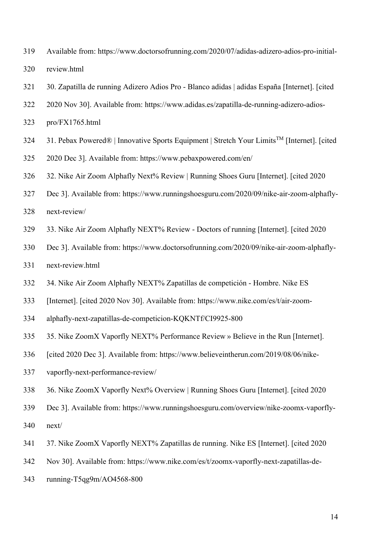- Available from: https://www.doctorsofrunning.com/2020/07/adidas-adizero-adios-pro-initial-review.html
- 30. Zapatilla de running Adizero Adios Pro Blanco adidas | adidas España [Internet]. [cited
- 2020 Nov 30]. Available from: https://www.adidas.es/zapatilla-de-running-adizero-adios-
- pro/FX1765.html
- 324 31. Pebax Powered® | Innovative Sports Equipment | Stretch Your Limits<sup>™</sup> [Internet]. [cited]
- 2020 Dec 3]. Available from: https://www.pebaxpowered.com/en/
- 32. Nike Air Zoom Alphafly Next% Review | Running Shoes Guru [Internet]. [cited 2020
- Dec 3]. Available from: https://www.runningshoesguru.com/2020/09/nike-air-zoom-alphafly-
- next-review/
- 33. Nike Air Zoom Alphafly NEXT% Review Doctors of running [Internet]. [cited 2020
- Dec 3]. Available from: https://www.doctorsofrunning.com/2020/09/nike-air-zoom-alphafly-
- next-review.html
- 34. Nike Air Zoom Alphafly NEXT% Zapatillas de competición Hombre. Nike ES
- [Internet]. [cited 2020 Nov 30]. Available from: https://www.nike.com/es/t/air-zoom-
- alphafly-next-zapatillas-de-competicion-KQKNTf/CI9925-800
- 35. Nike ZoomX Vaporfly NEXT% Performance Review » Believe in the Run [Internet].
- [cited 2020 Dec 3]. Available from: https://www.believeintherun.com/2019/08/06/nike-
- vaporfly-next-performance-review/
- 36. Nike ZoomX Vaporfly Next% Overview | Running Shoes Guru [Internet]. [cited 2020
- Dec 3]. Available from: https://www.runningshoesguru.com/overview/nike-zoomx-vaporfly-
- next/
- 37. Nike ZoomX Vaporfly NEXT% Zapatillas de running. Nike ES [Internet]. [cited 2020
- Nov 30]. Available from: https://www.nike.com/es/t/zoomx-vaporfly-next-zapatillas-de-
- running-T5qg9m/AO4568-800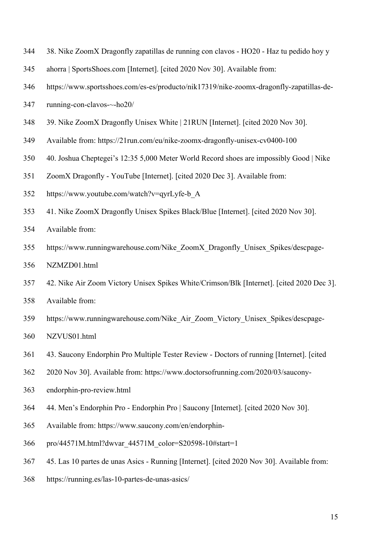- 38. Nike ZoomX Dragonfly zapatillas de running con clavos HO20 Haz tu pedido hoy y
- ahorra | SportsShoes.com [Internet]. [cited 2020 Nov 30]. Available from:
- https://www.sportsshoes.com/es-es/producto/nik17319/nike-zoomx-dragonfly-zapatillas-de-
- running-con-clavos-~-ho20/
- 39. Nike ZoomX Dragonfly Unisex White | 21RUN [Internet]. [cited 2020 Nov 30].
- Available from: https://21run.com/eu/nike-zoomx-dragonfly-unisex-cv0400-100
- 40. Joshua Cheptegei's 12:35 5,000 Meter World Record shoes are impossibly Good | Nike
- ZoomX Dragonfly YouTube [Internet]. [cited 2020 Dec 3]. Available from:
- https://www.youtube.com/watch?v=qyrLyfe-b\_A
- 41. Nike ZoomX Dragonfly Unisex Spikes Black/Blue [Internet]. [cited 2020 Nov 30].
- Available from:
- https://www.runningwarehouse.com/Nike\_ZoomX\_Dragonfly\_Unisex\_Spikes/descpage-
- NZMZD01.html
- 42. Nike Air Zoom Victory Unisex Spikes White/Crimson/Blk [Internet]. [cited 2020 Dec 3]. Available from:
- https://www.runningwarehouse.com/Nike\_Air\_Zoom\_Victory\_Unisex\_Spikes/descpage-
- NZVUS01.html
- 43. Saucony Endorphin Pro Multiple Tester Review Doctors of running [Internet]. [cited
- 2020 Nov 30]. Available from: https://www.doctorsofrunning.com/2020/03/saucony-
- endorphin-pro-review.html
- 44. Men's Endorphin Pro Endorphin Pro | Saucony [Internet]. [cited 2020 Nov 30].
- Available from: https://www.saucony.com/en/endorphin-
- pro/44571M.html?dwvar\_44571M\_color=S20598-10#start=1
- 45. Las 10 partes de unas Asics Running [Internet]. [cited 2020 Nov 30]. Available from:
- https://running.es/las-10-partes-de-unas-asics/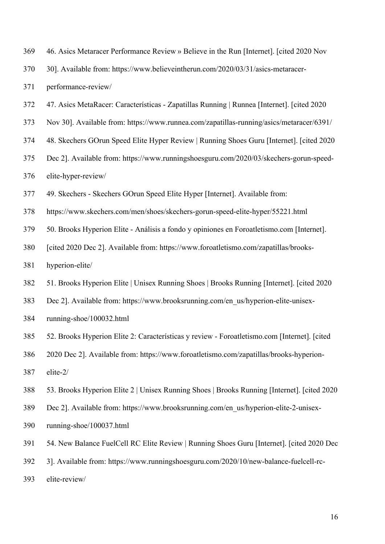- 46. Asics Metaracer Performance Review » Believe in the Run [Internet]. [cited 2020 Nov
- 30]. Available from: https://www.believeintherun.com/2020/03/31/asics-metaracer-
- performance-review/
- 47. Asics MetaRacer: Características Zapatillas Running | Runnea [Internet]. [cited 2020
- Nov 30]. Available from: https://www.runnea.com/zapatillas-running/asics/metaracer/6391/
- 48. Skechers GOrun Speed Elite Hyper Review | Running Shoes Guru [Internet]. [cited 2020
- Dec 2]. Available from: https://www.runningshoesguru.com/2020/03/skechers-gorun-speed-
- elite-hyper-review/
- 49. Skechers Skechers GOrun Speed Elite Hyper [Internet]. Available from:
- https://www.skechers.com/men/shoes/skechers-gorun-speed-elite-hyper/55221.html
- 50. Brooks Hyperion Elite Análisis a fondo y opiniones en Foroatletismo.com [Internet].
- [cited 2020 Dec 2]. Available from: https://www.foroatletismo.com/zapatillas/brooks-
- hyperion-elite/
- 51. Brooks Hyperion Elite | Unisex Running Shoes | Brooks Running [Internet]. [cited 2020
- Dec 2]. Available from: https://www.brooksrunning.com/en\_us/hyperion-elite-unisex-
- running-shoe/100032.html
- 52. Brooks Hyperion Elite 2: Características y review Foroatletismo.com [Internet]. [cited
- 2020 Dec 2]. Available from: https://www.foroatletismo.com/zapatillas/brooks-hyperion-elite-2/
- 53. Brooks Hyperion Elite 2 | Unisex Running Shoes | Brooks Running [Internet]. [cited 2020
- Dec 2]. Available from: https://www.brooksrunning.com/en\_us/hyperion-elite-2-unisex-
- running-shoe/100037.html
- 54. New Balance FuelCell RC Elite Review | Running Shoes Guru [Internet]. [cited 2020 Dec
- 3]. Available from: https://www.runningshoesguru.com/2020/10/new-balance-fuelcell-rc-
- elite-review/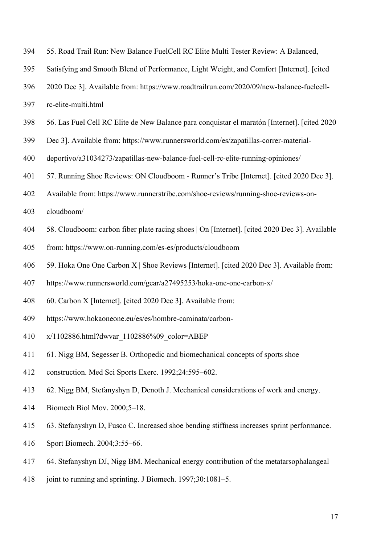| 394 | 55. Road Trail Run: New Balance FuelCell RC Elite Multi Tester Review: A Balanced,           |
|-----|----------------------------------------------------------------------------------------------|
| 395 | Satisfying and Smooth Blend of Performance, Light Weight, and Comfort [Internet]. [cited]    |
| 396 | 2020 Dec 3]. Available from: https://www.roadtrailrun.com/2020/09/new-balance-fuelcell-      |
| 397 | rc-elite-multi.html                                                                          |
| 398 | 56. Las Fuel Cell RC Elite de New Balance para conquistar el maratón [Internet]. [cited 2020 |

- Dec 3]. Available from: https://www.runnersworld.com/es/zapatillas-correr-material-
- deportivo/a31034273/zapatillas-new-balance-fuel-cell-rc-elite-running-opiniones/
- 57. Running Shoe Reviews: ON Cloudboom Runner's Tribe [Internet]. [cited 2020 Dec 3].
- Available from: https://www.runnerstribe.com/shoe-reviews/running-shoe-reviews-on-
- cloudboom/
- 58. Cloudboom: carbon fiber plate racing shoes | On [Internet]. [cited 2020 Dec 3]. Available
- from: https://www.on-running.com/es-es/products/cloudboom
- 59. Hoka One One Carbon X | Shoe Reviews [Internet]. [cited 2020 Dec 3]. Available from:
- https://www.runnersworld.com/gear/a27495253/hoka-one-one-carbon-x/
- 60. Carbon X [Internet]. [cited 2020 Dec 3]. Available from:
- https://www.hokaoneone.eu/es/es/hombre-caminata/carbon-
- x/1102886.html?dwvar\_1102886%09\_color=ABEP
- 61. Nigg BM, Segesser B. Orthopedic and biomechanical concepts of sports shoe
- construction. Med Sci Sports Exerc. 1992;24:595–602.
- 62. Nigg BM, Stefanyshyn D, Denoth J. Mechanical considerations of work and energy.
- Biomech Biol Mov. 2000;5–18.
- 63. Stefanyshyn D, Fusco C. Increased shoe bending stiffness increases sprint performance.
- Sport Biomech. 2004;3:55–66.
- 64. Stefanyshyn DJ, Nigg BM. Mechanical energy contribution of the metatarsophalangeal
- 418 joint to running and sprinting. J Biomech. 1997;30:1081–5.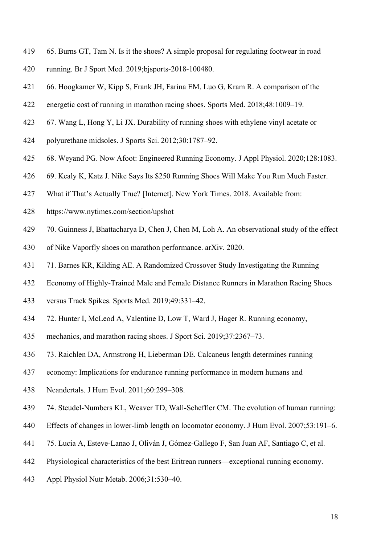- 65. Burns GT, Tam N. Is it the shoes? A simple proposal for regulating footwear in road
- running. Br J Sport Med. 2019;bjsports-2018-100480.
- 66. Hoogkamer W, Kipp S, Frank JH, Farina EM, Luo G, Kram R. A comparison of the
- energetic cost of running in marathon racing shoes. Sports Med. 2018;48:1009–19.
- 67. Wang L, Hong Y, Li JX. Durability of running shoes with ethylene vinyl acetate or
- polyurethane midsoles. J Sports Sci. 2012;30:1787–92.
- 68. Weyand PG. Now Afoot: Engineered Running Economy. J Appl Physiol. 2020;128:1083.
- 69. Kealy K, Katz J. Nike Says Its \$250 Running Shoes Will Make You Run Much Faster.
- What if That's Actually True? [Internet]. New York Times. 2018. Available from:
- https://www.nytimes.com/section/upshot
- 70. Guinness J, Bhattacharya D, Chen J, Chen M, Loh A. An observational study of the effect
- of Nike Vaporfly shoes on marathon performance. arXiv. 2020.
- 71. Barnes KR, Kilding AE. A Randomized Crossover Study Investigating the Running
- Economy of Highly-Trained Male and Female Distance Runners in Marathon Racing Shoes
- versus Track Spikes. Sports Med. 2019;49:331–42.
- 72. Hunter I, McLeod A, Valentine D, Low T, Ward J, Hager R. Running economy,
- mechanics, and marathon racing shoes. J Sport Sci. 2019;37:2367–73.
- 73. Raichlen DA, Armstrong H, Lieberman DE. Calcaneus length determines running
- economy: Implications for endurance running performance in modern humans and
- Neandertals. J Hum Evol. 2011;60:299–308.
- 74. Steudel-Numbers KL, Weaver TD, Wall-Scheffler CM. The evolution of human running:
- Effects of changes in lower-limb length on locomotor economy. J Hum Evol. 2007;53:191–6.
- 75. Lucia A, Esteve-Lanao J, Oliván J, Gómez-Gallego F, San Juan AF, Santiago C, et al.
- Physiological characteristics of the best Eritrean runners—exceptional running economy.
- Appl Physiol Nutr Metab. 2006;31:530–40.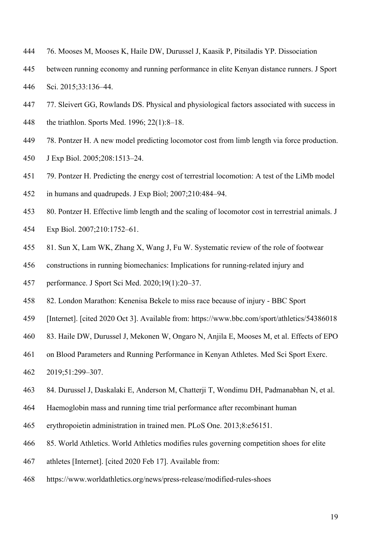- 76. Mooses M, Mooses K, Haile DW, Durussel J, Kaasik P, Pitsiladis YP. Dissociation
- between running economy and running performance in elite Kenyan distance runners. J Sport Sci. 2015;33:136–44.
- 77. Sleivert GG, Rowlands DS. Physical and physiological factors associated with success in the triathlon. Sports Med. 1996; 22(1):8–18.
- 78. Pontzer H. A new model predicting locomotor cost from limb length via force production.
- J Exp Biol. 2005;208:1513–24.
- 79. Pontzer H. Predicting the energy cost of terrestrial locomotion: A test of the LiMb model
- in humans and quadrupeds. J Exp Biol; 2007;210:484–94.
- 80. Pontzer H. Effective limb length and the scaling of locomotor cost in terrestrial animals. J
- Exp Biol. 2007;210:1752–61.
- 81. Sun X, Lam WK, Zhang X, Wang J, Fu W. Systematic review of the role of footwear
- constructions in running biomechanics: Implications for running-related injury and
- performance. J Sport Sci Med. 2020;19(1):20–37.
- 82. London Marathon: Kenenisa Bekele to miss race because of injury BBC Sport
- [Internet]. [cited 2020 Oct 3]. Available from: https://www.bbc.com/sport/athletics/54386018
- 83. Haile DW, Durussel J, Mekonen W, Ongaro N, Anjila E, Mooses M, et al. Effects of EPO
- on Blood Parameters and Running Performance in Kenyan Athletes. Med Sci Sport Exerc.
- 2019;51:299–307.
- 84. Durussel J, Daskalaki E, Anderson M, Chatterji T, Wondimu DH, Padmanabhan N, et al.
- Haemoglobin mass and running time trial performance after recombinant human
- erythropoietin administration in trained men. PLoS One. 2013;8:e56151.
- 85. World Athletics. World Athletics modifies rules governing competition shoes for elite
- athletes [Internet]. [cited 2020 Feb 17]. Available from:
- https://www.worldathletics.org/news/press-release/modified-rules-shoes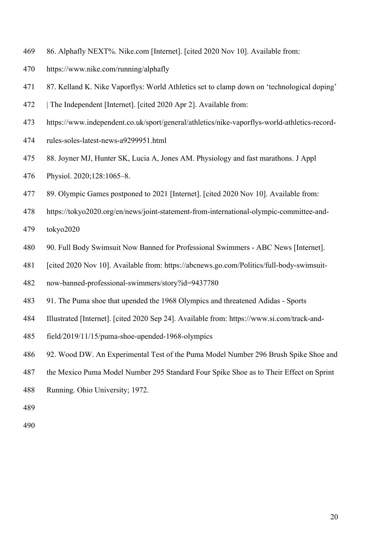- 86. Alphafly NEXT%. Nike.com [Internet]. [cited 2020 Nov 10]. Available from:
- https://www.nike.com/running/alphafly
- 87. Kelland K. Nike Vaporflys: World Athletics set to clamp down on 'technological doping'
- | The Independent [Internet]. [cited 2020 Apr 2]. Available from:
- https://www.independent.co.uk/sport/general/athletics/nike-vaporflys-world-athletics-record-
- rules-soles-latest-news-a9299951.html
- 88. Joyner MJ, Hunter SK, Lucia A, Jones AM. Physiology and fast marathons. J Appl
- Physiol. 2020;128:1065–8.
- 89. Olympic Games postponed to 2021 [Internet]. [cited 2020 Nov 10]. Available from:
- https://tokyo2020.org/en/news/joint-statement-from-international-olympic-committee-and-
- tokyo2020
- 90. Full Body Swimsuit Now Banned for Professional Swimmers ABC News [Internet].
- [cited 2020 Nov 10]. Available from: https://abcnews.go.com/Politics/full-body-swimsuit-
- now-banned-professional-swimmers/story?id=9437780
- 91. The Puma shoe that upended the 1968 Olympics and threatened Adidas Sports
- Illustrated [Internet]. [cited 2020 Sep 24]. Available from: https://www.si.com/track-and-
- field/2019/11/15/puma-shoe-upended-1968-olympics
- 92. Wood DW. An Experimental Test of the Puma Model Number 296 Brush Spike Shoe and
- the Mexico Puma Model Number 295 Standard Four Spike Shoe as to Their Effect on Sprint
- Running. Ohio University; 1972.
-